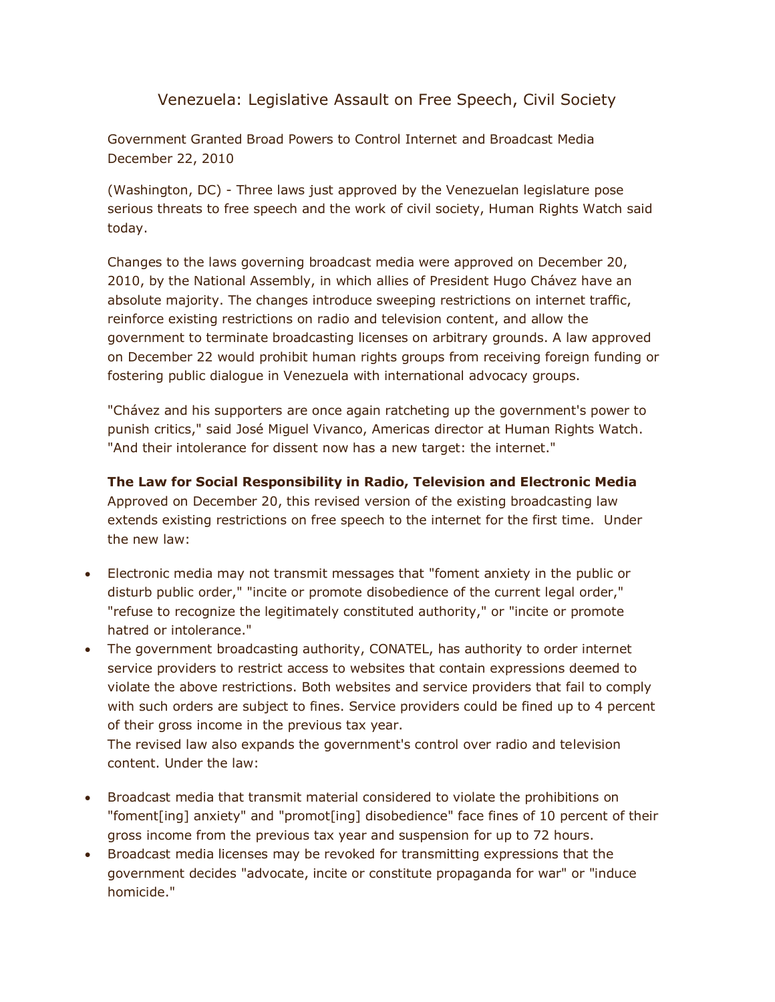## [Venezuela: Legislative Assault on Free Speech, Civil Society](http://www.hrw.org/en/news/2010/12/22/venezuela-legislative-assault-free-speech-civil-society)

Government Granted Broad Powers to Control Internet and Broadcast Media December 22, 2010

(Washington, DC) - Three laws just approved by the Venezuelan legislature pose serious threats to free speech and the work of civil society, Human Rights Watch said today.

Changes to the laws governing broadcast media were approved on December 20, 2010, by the National Assembly, in which allies of President Hugo Chávez have an absolute majority. The changes introduce sweeping restrictions on internet traffic, reinforce existing restrictions on radio and television content, and allow the government to terminate broadcasting licenses on arbitrary grounds. A law approved on December 22 would prohibit human rights groups from receiving foreign funding or fostering public dialogue in Venezuela with international advocacy groups.

"Chávez and his supporters are once again ratcheting up the government's power to punish critics," said José Miguel Vivanco, Americas director at Human Rights Watch. "And their intolerance for dissent now has a new target: the internet."

**The Law for Social Responsibility in Radio, Television and Electronic Media** Approved on December 20, this revised version of the existing broadcasting law extends existing restrictions on free speech to the internet for the first time. Under the new law:

- Electronic media may not transmit messages that "foment anxiety in the public or disturb public order," "incite or promote disobedience of the current legal order," "refuse to recognize the legitimately constituted authority," or "incite or promote hatred or intolerance."
- The government broadcasting authority, CONATEL, has authority to order internet service providers to restrict access to websites that contain expressions deemed to violate the above restrictions. Both websites and service providers that fail to comply with such orders are subject to fines. Service providers could be fined up to 4 percent of their gross income in the previous tax year.

The revised law also expands the government's control over radio and television content. Under the law:

- Broadcast media that transmit material considered to violate the prohibitions on "foment[ing] anxiety" and "promot[ing] disobedience" face fines of 10 percent of their gross income from the previous tax year and suspension for up to 72 hours.
- Broadcast media licenses may be revoked for transmitting expressions that the government decides "advocate, incite or constitute propaganda for war" or "induce homicide."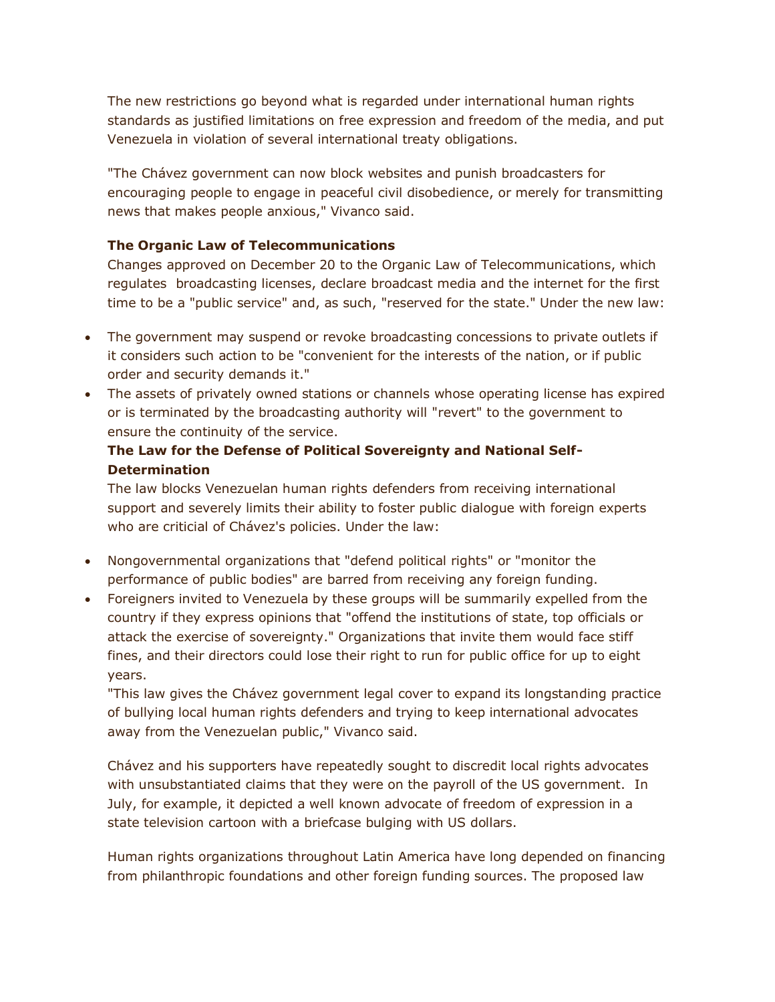The new restrictions go beyond what is regarded under international human rights standards as justified limitations on free expression and freedom of the media, and put Venezuela in violation of several international treaty obligations.

"The Chávez government can now block websites and punish broadcasters for encouraging people to engage in peaceful civil disobedience, or merely for transmitting news that makes people anxious," Vivanco said.

## **The Organic Law of Telecommunications**

Changes approved on December 20 to the Organic Law of Telecommunications, which regulates broadcasting licenses, declare broadcast media and the internet for the first time to be a "public service" and, as such, "reserved for the state." Under the new law:

- The government may suspend or revoke broadcasting concessions to private outlets if it considers such action to be "convenient for the interests of the nation, or if public order and security demands it."
- The assets of privately owned stations or channels whose operating license has expired or is terminated by the broadcasting authority will "revert" to the government to ensure the continuity of the service.

## **The Law for the Defense of Political Sovereignty and National Self-Determination**

The law blocks Venezuelan human rights defenders from receiving international support and severely limits their ability to foster public dialogue with foreign experts who are criticial of Chávez's policies. Under the law:

- Nongovernmental organizations that "defend political rights" or "monitor the performance of public bodies" are barred from receiving any foreign funding.
- Foreigners invited to Venezuela by these groups will be summarily expelled from the country if they express opinions that "offend the institutions of state, top officials or attack the exercise of sovereignty." Organizations that invite them would face stiff fines, and their directors could lose their right to run for public office for up to eight years.

"This law gives the Chávez government legal cover to expand its longstanding practice of bullying local human rights defenders and trying to keep international advocates away from the Venezuelan public," Vivanco said.

Chávez and his supporters have repeatedly sought to discredit local rights advocates with unsubstantiated claims that they were on the payroll of the US government. In July, for example, it depicted a well known advocate of freedom of expression in a state television cartoon with a briefcase bulging with US dollars.

Human rights organizations throughout Latin America have long depended on financing from philanthropic foundations and other foreign funding sources. The proposed law